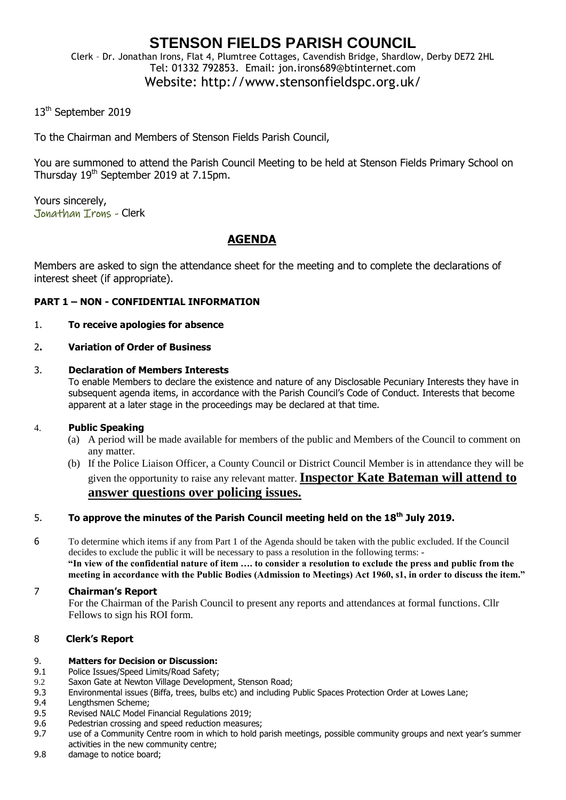### **STENSON FIELDS PARISH COUNCIL** Clerk – Dr. Jonathan Irons, Flat 4, Plumtree Cottages, Cavendish Bridge, Shardlow, Derby DE72 2HL Tel: 01332 792853. Email: jon.irons689@btinternet.com

Website: http://www.stensonfieldspc.org.uk/

## 13<sup>th</sup> September 2019

To the Chairman and Members of Stenson Fields Parish Council,

You are summoned to attend the Parish Council Meeting to be held at Stenson Fields Primary School on Thursday  $19<sup>th</sup>$  September 2019 at 7.15pm.

Yours sincerely, Jonathan Irons - Clerk

# **AGENDA**

Members are asked to sign the attendance sheet for the meeting and to complete the declarations of interest sheet (if appropriate).

### **PART 1 – NON - CONFIDENTIAL INFORMATION**

1. **To receive apologies for absence** 

### 2**. Variation of Order of Business**

### 3. **Declaration of Members Interests**

To enable Members to declare the existence and nature of any Disclosable Pecuniary Interests they have in subsequent agenda items, in accordance with the Parish Council's Code of Conduct. Interests that become apparent at a later stage in the proceedings may be declared at that time.

### 4. **Public Speaking**

- (a) A period will be made available for members of the public and Members of the Council to comment on any matter.
- (b) If the Police Liaison Officer, a County Council or District Council Member is in attendance they will be given the opportunity to raise any relevant matter. **Inspector Kate Bateman will attend to answer questions over policing issues.**

### 5. **To approve the minutes of the Parish Council meeting held on the 18th July 2019.**

6 To determine which items if any from Part 1 of the Agenda should be taken with the public excluded. If the Council decides to exclude the public it will be necessary to pass a resolution in the following terms: - **"In view of the confidential nature of item …. to consider a resolution to exclude the press and public from the meeting in accordance with the Public Bodies (Admission to Meetings) Act 1960, s1, in order to discuss the item."** 

#### 7 **Chairman's Report**

For the Chairman of the Parish Council to present any reports and attendances at formal functions. Cllr Fellows to sign his ROI form.

### 8 **Clerk's Report**

#### 9. **Matters for Decision or Discussion:**

- 9.1 Police Issues/Speed Limits/Road Safety;
- 9.2 Saxon Gate at Newton Village Development, Stenson Road;
- 9.3 Environmental issues (Biffa, trees, bulbs etc) and including Public Spaces Protection Order at Lowes Lane;
- 9.4 Lengthsmen Scheme;
- 9.5 Revised NALC Model Financial Regulations 2019;
- 9.6 Pedestrian crossing and speed reduction measures;
- 9.7 use of a Community Centre room in which to hold parish meetings, possible community groups and next year's summer activities in the new community centre;
- 9.8 damage to notice board;